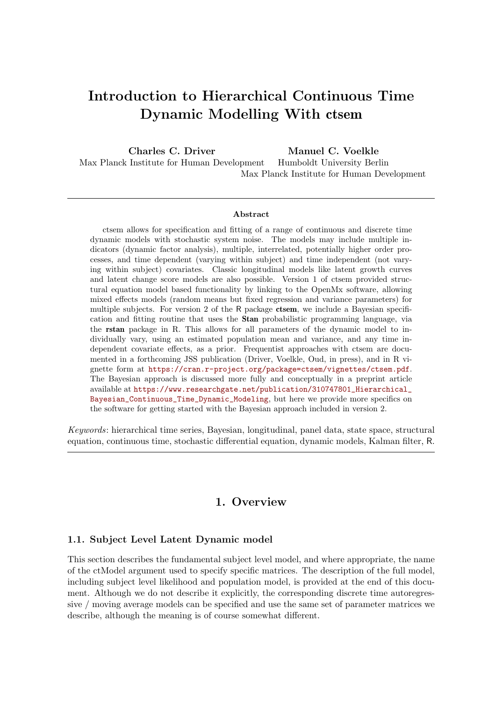# Introduction to Hierarchical Continuous Time Dynamic Modelling With ctsem

Charles C. Driver Max Planck Institute for Human Development Manuel C. Voelkle Humboldt University Berlin Max Planck Institute for Human Development

#### Abstract

ctsem allows for specification and fitting of a range of continuous and discrete time dynamic models with stochastic system noise. The models may include multiple indicators (dynamic factor analysis), multiple, interrelated, potentially higher order processes, and time dependent (varying within subject) and time independent (not varying within subject) covariates. Classic longitudinal models like latent growth curves and latent change score models are also possible. Version 1 of ctsem provided structural equation model based functionality by linking to the OpenMx software, allowing mixed effects models (random means but fixed regression and variance parameters) for multiple subjects. For version 2 of the R package ctsem, we include a Bayesian specification and fitting routine that uses the Stan probabilistic programming language, via the rstan package in R. This allows for all parameters of the dynamic model to individually vary, using an estimated population mean and variance, and any time independent covariate effects, as a prior. Frequentist approaches with ctsem are documented in a forthcoming JSS publication (Driver, Voelkle, Oud, in press), and in R vignette form at [https://cran.r-project.org/package=ctsem/vignettes/ctsem.pdf](https://cran.r-project.org/package=ctsem/vignettes/ctsem.pdf ). The Bayesian approach is discussed more fully and conceptually in a preprint article available at [https://www.researchgate.net/publication/310747801\\_Hierarchical\\_](https://www.researchgate.net/publication/310747801_Hierarchical_Bayesian_Continuous_Time_Dynamic_Modeling) [Bayesian\\_Continuous\\_Time\\_Dynamic\\_Modeling](https://www.researchgate.net/publication/310747801_Hierarchical_Bayesian_Continuous_Time_Dynamic_Modeling), but here we provide more specifics on the software for getting started with the Bayesian approach included in version 2.

*Keywords*: hierarchical time series, Bayesian, longitudinal, panel data, state space, structural equation, continuous time, stochastic differential equation, dynamic models, Kalman filter, R.

## 1. Overview

#### 1.1. Subject Level Latent Dynamic model

This section describes the fundamental subject level model, and where appropriate, the name of the ctModel argument used to specify specific matrices. The description of the full model, including subject level likelihood and population model, is provided at the end of this document. Although we do not describe it explicitly, the corresponding discrete time autoregressive / moving average models can be specified and use the same set of parameter matrices we describe, although the meaning is of course somewhat different.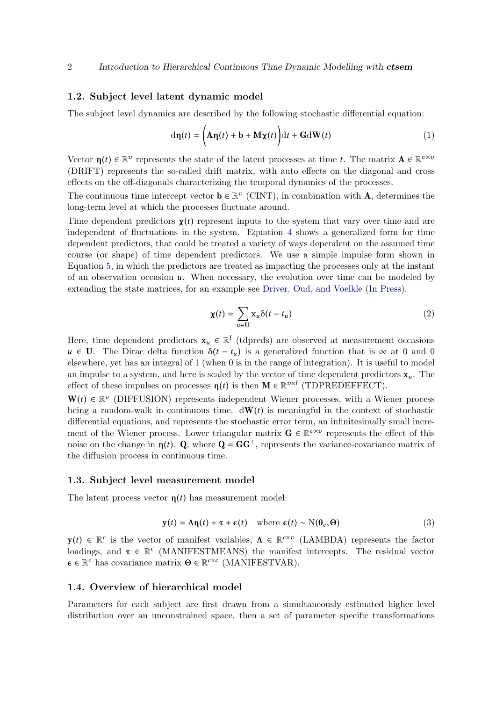## 1.2. Subject level latent dynamic model

The subject level dynamics are described by the following stochastic differential equation:

$$
d\eta(t) = \left(A\eta(t) + b + M\chi(t)\right)dt + GdW(t)
$$
\n(1)

Vector  $\eta(t) \in \mathbb{R}^v$  represents the state of the latent processes at time t. The matrix  $\mathbf{A} \in \mathbb{R}^{v \times v}$ (DRIFT) represents the so-called drift matrix, with auto effects on the diagonal and cross effects on the off-diagonals characterizing the temporal dynamics of the processes.

The continuous time intercept vector  $\mathbf{b} \in \mathbb{R}^v$  (CINT), in combination with **A**, determines the long-term level at which the processes fluctuate around.

Time dependent predictors  $\chi(t)$  represent inputs to the system that vary over time and are independent of fluctuations in the system. Equation [4](#page-12-0) shows a generalized form for time dependent predictors, that could be treated a variety of ways dependent on the assumed time course (or shape) of time dependent predictors. We use a simple impulse form shown in Equation [5,](#page-13-0) in which the predictors are treated as impacting the processes only at the instant of an observation occasion u. When necessary, the evolution over time can be modeled by extending the state matrices, for an example see [Driver, Oud, and Voelkle](#page-20-0) [\(In Press\)](#page-20-0).

$$
\chi(t) = \sum_{u \in U} \mathbf{x}_u \delta(t - t_u)
$$
 (2)

Here, time dependent predictors  $\mathbf{x}_u \in \mathbb{R}^l$  (tdpreds) are observed at measurement occasions  $u \in U$ . The Dirac delta function  $\delta(t - t_u)$  is a generalized function that is  $\infty$  at 0 and 0 elsewhere, yet has an integral of 1 (when 0 is in the range of integration). It is useful to model an impulse to a system, and here is scaled by the vector of time dependent predictors  $x_{ii}$ . The effect of these impulses on processes  $\eta(t)$  is then  $M \in \mathbb{R}^{v \times l}$  (TDPREDEFFECT).

 $W(t) \in \mathbb{R}^v$  (DIFFUSION) represents independent Wiener processes, with a Wiener process being a random-walk in continuous time.  $d\mathbf{W}(t)$  is meaningful in the context of stochastic differential equations, and represents the stochastic error term, an infinitesimally small increment of the Wiener process. Lower triangular matrix  $\mathbf{G} \in \mathbb{R}^{v \times v}$  represents the effect of this noise on the change in  $\eta(t)$ . Q, where  $\mathbf{Q} = \mathbf{G} \mathbf{G}^{\top}$ , represents the variance-covariance matrix of the diffusion process in continuous time.

#### 1.3. Subject level measurement model

The latent process vector  $\eta(t)$  has measurement model:

$$
\mathbf{y}(t) = \mathbf{\Lambda}\mathbf{\eta}(t) + \boldsymbol{\tau} + \boldsymbol{\epsilon}(t) \quad \text{where } \boldsymbol{\epsilon}(t) \sim \mathbf{N}(\mathbf{0}_c, \boldsymbol{\Theta}) \tag{3}
$$

 $y(t) \in \mathbb{R}^c$  is the vector of manifest variables,  $\Lambda \in \mathbb{R}^{c \times v}$  (LAMBDA) represents the factor loadings, and  $\tau \in \mathbb{R}^c$  (MANIFESTMEANS) the manifest intercepts. The residual vector  $\epsilon \in \mathbb{R}^c$  has covariance matrix  $\Theta \in \mathbb{R}^{c \times c}$  (MANIFESTVAR).

#### 1.4. Overview of hierarchical model

Parameters for each subject are first drawn from a simultaneously estimated higher level distribution over an unconstrained space, then a set of parameter specific transformations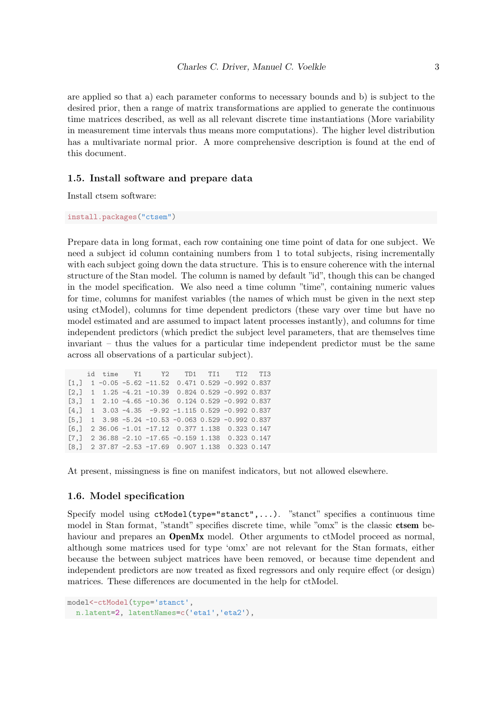are applied so that a) each parameter conforms to necessary bounds and b) is subject to the desired prior, then a range of matrix transformations are applied to generate the continuous time matrices described, as well as all relevant discrete time instantiations (More variability in measurement time intervals thus means more computations). The higher level distribution has a multivariate normal prior. A more comprehensive description is found at the end of this document.

#### 1.5. Install software and prepare data

Install ctsem software:

install.packages("ctsem")

Prepare data in long format, each row containing one time point of data for one subject. We need a subject id column containing numbers from 1 to total subjects, rising incrementally with each subject going down the data structure. This is to ensure coherence with the internal structure of the Stan model. The column is named by default "id", though this can be changed in the model specification. We also need a time column "time", containing numeric values for time, columns for manifest variables (the names of which must be given in the next step using ctModel), columns for time dependent predictors (these vary over time but have no model estimated and are assumed to impact latent processes instantly), and columns for time independent predictors (which predict the subject level parameters, that are themselves time invariant – thus the values for a particular time independent predictor must be the same across all observations of a particular subject).

```
id time Y1 Y2 TD1 TI1 TI2 TI3
[1,] 1 -0.05 -5.62 -11.52 0.471 0.529 -0.992 0.837
[2,] 1 1.25 -4.21 -10.39 0.824 0.529 -0.992 0.837
[3,] 1 2.10 -4.65 -10.36 0.124 0.529 -0.992 0.837
[4,] 1 3.03 -4.35 -9.92 -1.115 0.529 -0.992 0.837
[5,] 1 3.98 -5.24 -10.53 -0.063 0.529 -0.992 0.837
[6,] 2 36.06 -1.01 -17.12 0.377 1.138 0.323 0.147
[7,] 2 36.88 -2.10 -17.65 -0.159 1.138 0.323 0.147
[8,] 2 37.87 -2.53 -17.69 0.907 1.138 0.323 0.147
```
At present, missingness is fine on manifest indicators, but not allowed elsewhere.

#### 1.6. Model specification

Specify model using ctModel(type="stanct",...). "stanct" specifies a continuous time model in Stan format, "standt" specifies discrete time, while "omx" is the classic ctsem behaviour and prepares an **OpenMx** model. Other arguments to ctModel proceed as normal, although some matrices used for type 'omx' are not relevant for the Stan formats, either because the between subject matrices have been removed, or because time dependent and independent predictors are now treated as fixed regressors and only require effect (or design) matrices. These differences are documented in the help for ctModel.

```
model<-ctModel(type='stanct',
n.latent=2, latentNames=c('eta1','eta2'),
```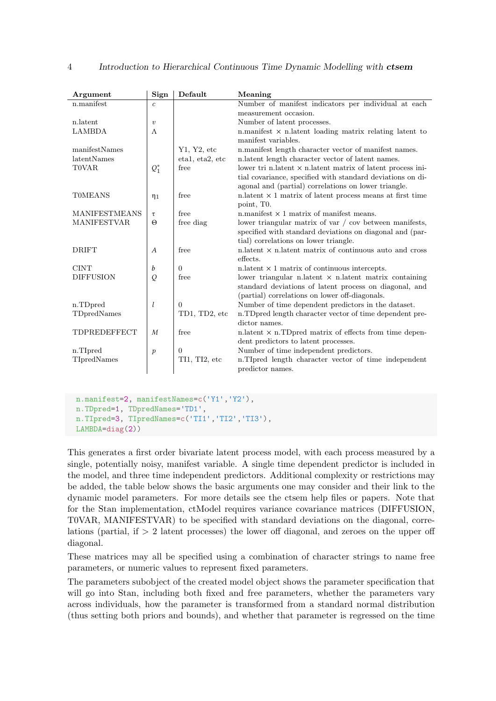| Argument             | Sign             | Default         | Meaning                                                            |
|----------------------|------------------|-----------------|--------------------------------------------------------------------|
| n.manifest           | $\overline{c}$   |                 | Number of manifest indicators per individual at each               |
|                      |                  |                 | measurement occasion.                                              |
| n.latent             | $\boldsymbol{v}$ |                 | Number of latent processes.                                        |
| <b>LAMBDA</b>        | $\Lambda$        |                 | n manifest $\times$ n latent loading matrix relating latent to     |
|                      |                  |                 | manifest variables.                                                |
| manifestNames        |                  | Y1, Y2, etc     | n.manifest length character vector of manifest names.              |
| latentNames          |                  | etal, eta2, etc | n.latent length character vector of latent names.                  |
| <b>T0VAR</b>         | $Q_1^*$          | free            | lower tri n.latent $\times$ n.latent matrix of latent process ini- |
|                      |                  |                 | tial covariance, specified with standard deviations on di-         |
|                      |                  |                 | agonal and (partial) correlations on lower triangle.               |
| <b>TOMEANS</b>       | $\eta_1$         | free            | n. latent $\times$ 1 matrix of latent process means at first time  |
|                      |                  |                 | point, T <sub>0</sub> .                                            |
| <b>MANIFESTMEANS</b> | τ                | free            | n. manifest $\times$ 1 matrix of manifest means.                   |
| <b>MANIFESTVAR</b>   | $\Theta$         | free diag       | lower triangular matrix of var $\prime$ cov between manifests,     |
|                      |                  |                 | specified with standard deviations on diagonal and (par-           |
|                      |                  |                 | tial) correlations on lower triangle.                              |
| <b>DRIFT</b>         | $\boldsymbol{A}$ | free            | $n$ -latent $\times$ n. latent matrix of continuous auto and cross |
|                      |                  |                 | effects.                                                           |
| <b>CINT</b>          | b                | $\Omega$        | n. latent $\times$ 1 matrix of continuous intercepts.              |
| <b>DIFFUSION</b>     | Q                | free            | lower triangular n.latent $\times$ n.latent matrix containing      |
|                      |                  |                 | standard deviations of latent process on diagonal, and             |
|                      |                  |                 | (partial) correlations on lower off-diagonals.                     |
| n.TDpred             | l                | $\overline{0}$  | Number of time dependent predictors in the dataset.                |
| TDpredNames          |                  | TD1, TD2, etc   | n.TDpred length character vector of time dependent pre-            |
|                      |                  |                 | dictor names.                                                      |
| TDPREDEFFECT         | M                | free            | n. latent $\times$ n. TD pred matrix of effects from time depen-   |
|                      |                  |                 | dent predictors to latent processes.                               |
| n.TIpred             | $\boldsymbol{p}$ | $\theta$        | Number of time independent predictors.                             |
| TIpredNames          |                  | TI1, TI2, etc   | n.TIpred length character vector of time independent               |
|                      |                  |                 | predictor names.                                                   |

```
n.manifest=2, manifestNames=c('Y1','Y2'),
n.manifest<mark>=2,</mark> manifestNames<mark>=c(</mark><br>n.TDpred=1, TDpredNames='TD1',
n.TDpred=1, TDpredNames='TD1',<br>n.TIpred=3, TIpredNames=c('TI1','TI2','TI3'),
LAMBDA=diag(2))
```
This generates a first order bivariate latent process model, with each process measured by a single, potentially noisy, manifest variable. A single time dependent predictor is included in the model, and three time independent predictors. Additional complexity or restrictions may be added, the table below shows the basic arguments one may consider and their link to the dynamic model parameters. For more details see the ctsem help files or papers. Note that for the Stan implementation, ctModel requires variance covariance matrices (DIFFUSION, T0VAR, MANIFESTVAR) to be specified with standard deviations on the diagonal, correlations (partial, if > 2 latent processes) the lower off diagonal, and zeroes on the upper off diagonal.

These matrices may all be specified using a combination of character strings to name free parameters, or numeric values to represent fixed parameters.

The parameters subobject of the created model object shows the parameter specification that will go into Stan, including both fixed and free parameters, whether the parameters vary across individuals, how the parameter is transformed from a standard normal distribution (thus setting both priors and bounds), and whether that parameter is regressed on the time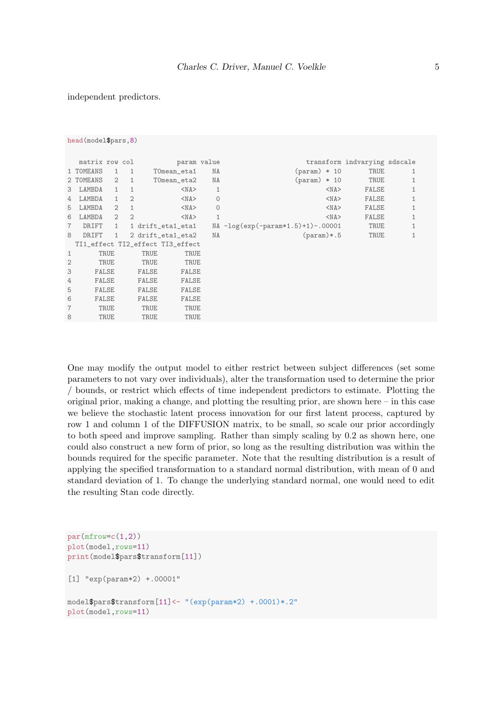#### independent predictors.

```
head(model$pars,8)
 matrix row col param value transform indvarying sdscale<br>
TOMEANS 1 1 TOmean_eta1 NA (param) * 10 TRUE 1
1 TOMEANS  1 1 TOmean_eta1  NA  (param) * 10 TRUE  1<br>2 TOMEANS  2 1 TOmean_eta2  NA  (param) * 10 TRUE  1
2 T0MEANS 2 1 T0mean_eta2 NA (param) * 10 TRUE 1
3 LAMBDA 1 1 <NA> 1 <NA> FALSE 1
4 LAMBDA 1 2 <NA> 0 <NA> FALSE 1
5 LAMBDA 2 1 <NA> 0 <NA> <NA> FALSE 1
6 LAMBDA 2 2 <NA> 1 <NA> 1 <NA> FALSE 1
7 DRIFT 1 1 drift_eta1_eta1 NA -log(exp(-param*1.5)+1)-.00001 TRUE 1
8 DRIFT 1 2 drift_eta1_eta2 NA (param)*.5 TRUE 1
TI1_effect TI2_effect TI3_effect
1 TRUE TRUE TRUE
2 TRUE TRUE TRUE TRUE
3 FALSE FALSE FALSE
4 FALSE FALSE FALSE
5 FALSE FALSE FALSE FALSE
6 FALSE FALSE FALSE
7 TRUE TRUE TRUE
8 TRUE TRUE TRUE
```
One may modify the output model to either restrict between subject differences (set some parameters to not vary over individuals), alter the transformation used to determine the prior / bounds, or restrict which effects of time independent predictors to estimate. Plotting the original prior, making a change, and plotting the resulting prior, are shown here – in this case we believe the stochastic latent process innovation for our first latent process, captured by row 1 and column 1 of the DIFFUSION matrix, to be small, so scale our prior accordingly to both speed and improve sampling. Rather than simply scaling by 0.2 as shown here, one could also construct a new form of prior, so long as the resulting distribution was within the bounds required for the specific parameter. Note that the resulting distribution is a result of applying the specified transformation to a standard normal distribution, with mean of 0 and standard deviation of 1. To change the underlying standard normal, one would need to edit the resulting Stan code directly.

```
par(mfrow=c(1,2))plot(model,rows=11)
print(model$pars$transform[11])
[1] "exp(param*2) +.00001"
model$pars$transform[11]<- "(exp(param*2) +.0001)*.2"
plot(model,rows=11)
```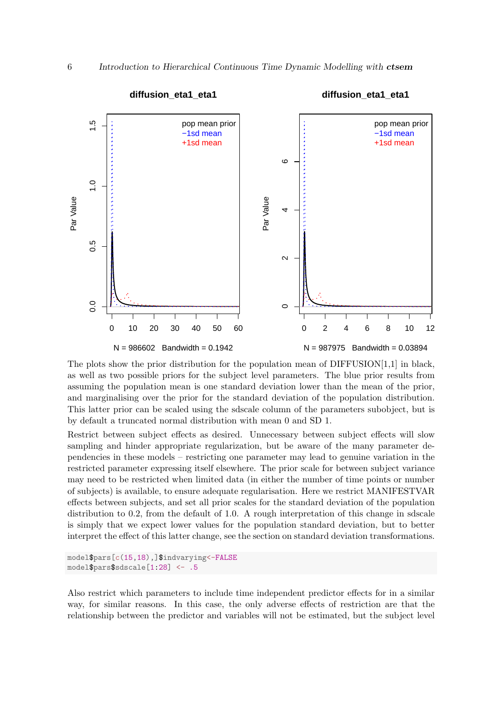

The plots show the prior distribution for the population mean of DIFFUSION[1,1] in black, as well as two possible priors for the subject level parameters. The blue prior results from assuming the population mean is one standard deviation lower than the mean of the prior, and marginalising over the prior for the standard deviation of the population distribution. This latter prior can be scaled using the sdscale column of the parameters subobject, but is by default a truncated normal distribution with mean 0 and SD 1.

Restrict between subject effects as desired. Unnecessary between subject effects will slow sampling and hinder appropriate regularization, but be aware of the many parameter dependencies in these models – restricting one parameter may lead to genuine variation in the restricted parameter expressing itself elsewhere. The prior scale for between subject variance may need to be restricted when limited data (in either the number of time points or number of subjects) is available, to ensure adequate regularisation. Here we restrict MANIFESTVAR effects between subjects, and set all prior scales for the standard deviation of the population distribution to 0.2, from the default of 1.0. A rough interpretation of this change in sdscale is simply that we expect lower values for the population standard deviation, but to better interpret the effect of this latter change, see the section on standard deviation transformations.

```
model$pars[c(15,18),]$indvarying<-FALSE
model$pars$sdscale[1:28] <- .5
```
Also restrict which parameters to include time independent predictor effects for in a similar way, for similar reasons. In this case, the only adverse effects of restriction are that the relationship between the predictor and variables will not be estimated, but the subject level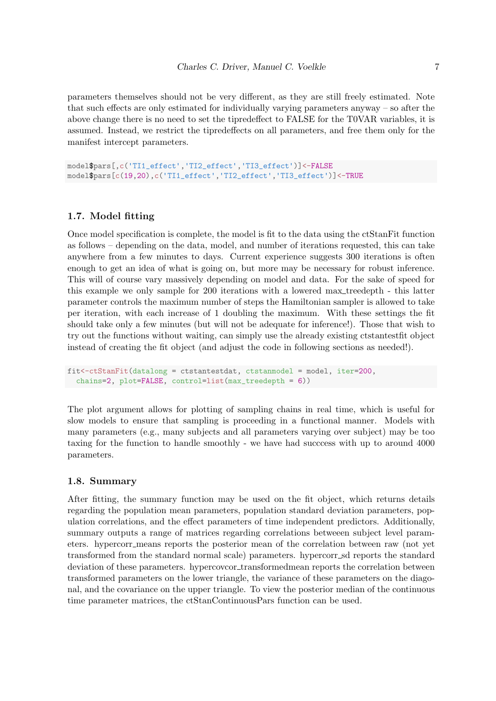parameters themselves should not be very different, as they are still freely estimated. Note that such effects are only estimated for individually varying parameters anyway – so after the above change there is no need to set the tipredeffect to FALSE for the T0VAR variables, it is assumed. Instead, we restrict the tipredeffects on all parameters, and free them only for the manifest intercept parameters.

```
model$pars[,c('TI1_effect','TI2_effect','TI3_effect')]<-FALSE
model$pars[c(19,20),c('TI1_effect','TI2_effect','TI3_effect')]<-TRUE
```
#### 1.7. Model fitting

Once model specification is complete, the model is fit to the data using the ctStanFit function as follows – depending on the data, model, and number of iterations requested, this can take anywhere from a few minutes to days. Current experience suggests 300 iterations is often enough to get an idea of what is going on, but more may be necessary for robust inference. This will of course vary massively depending on model and data. For the sake of speed for this example we only sample for 200 iterations with a lowered max treedepth - this latter parameter controls the maximum number of steps the Hamiltonian sampler is allowed to take per iteration, with each increase of 1 doubling the maximum. With these settings the fit should take only a few minutes (but will not be adequate for inference!). Those that wish to try out the functions without waiting, can simply use the already existing ctstantestfit object instead of creating the fit object (and adjust the code in following sections as needed!).

```
fit<-ctStanFit(datalong = ctstantestdat, ctstanmodel = model, iter=200,
 chains=2, plot=FALSE, control=list(max_treedepth = 6))
```
The plot argument allows for plotting of sampling chains in real time, which is useful for slow models to ensure that sampling is proceeding in a functional manner. Models with many parameters (e.g., many subjects and all parameters varying over subject) may be too taxing for the function to handle smoothly - we have had succcess with up to around 4000 parameters.

#### 1.8. Summary

After fitting, the summary function may be used on the fit object, which returns details regarding the population mean parameters, population standard deviation parameters, population correlations, and the effect parameters of time independent predictors. Additionally, summary outputs a range of matrices regarding correlations betweeen subject level parameters. hypercorr means reports the posterior mean of the correlation between raw (not yet transformed from the standard normal scale) parameters. hypercorr sd reports the standard deviation of these parameters. hypercovcor\_transformedmean reports the correlation between transformed parameters on the lower triangle, the variance of these parameters on the diagonal, and the covariance on the upper triangle. To view the posterior median of the continuous time parameter matrices, the ctStanContinuousPars function can be used.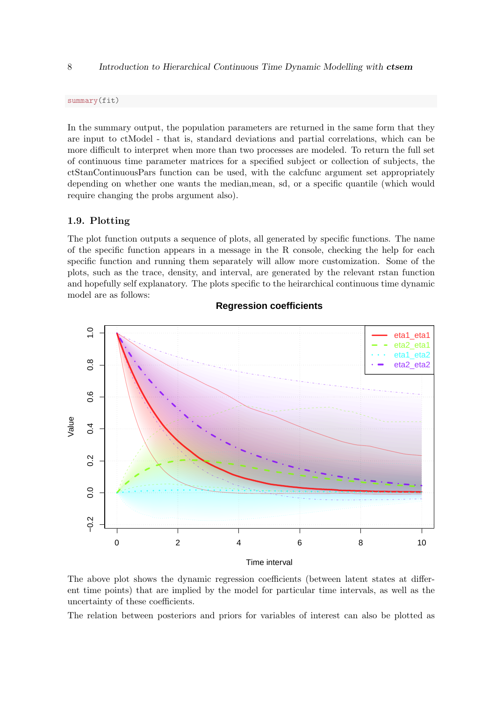#### 8 Introduction to Hierarchical Continuous Time Dynamic Modelling with ctsem

summary(fit)

In the summary output, the population parameters are returned in the same form that they are input to ctModel - that is, standard deviations and partial correlations, which can be more difficult to interpret when more than two processes are modeled. To return the full set of continuous time parameter matrices for a specified subject or collection of subjects, the ctStanContinuousPars function can be used, with the calcfunc argument set appropriately depending on whether one wants the median,mean, sd, or a specific quantile (which would require changing the probs argument also).

#### 1.9. Plotting

The plot function outputs a sequence of plots, all generated by specific functions. The name of the specific function appears in a message in the R console, checking the help for each specific function and running them separately will allow more customization. Some of the plots, such as the trace, density, and interval, are generated by the relevant rstan function and hopefully self explanatory. The plots specific to the heirarchical continuous time dynamic model are as follows:



### **Regression coefficients**

The above plot shows the dynamic regression coefficients (between latent states at different time points) that are implied by the model for particular time intervals, as well as the uncertainty of these coefficients.

The relation between posteriors and priors for variables of interest can also be plotted as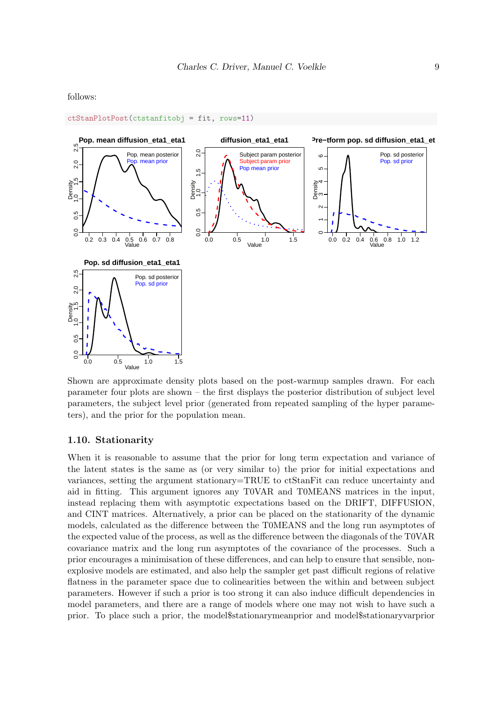follows:



ctStanPlotPost(ctstanfitobj = fit, rows=11)

Shown are approximate density plots based on the post-warmup samples drawn. For each parameter four plots are shown – the first displays the posterior distribution of subject level parameters, the subject level prior (generated from repeated sampling of the hyper parameters), and the prior for the population mean.

#### 1.10. Stationarity

When it is reasonable to assume that the prior for long term expectation and variance of the latent states is the same as (or very similar to) the prior for initial expectations and variances, setting the argument stationary=TRUE to ctStanFit can reduce uncertainty and aid in fitting. This argument ignores any T0VAR and T0MEANS matrices in the input, instead replacing them with asymptotic expectations based on the DRIFT, DIFFUSION, and CINT matrices. Alternatively, a prior can be placed on the stationarity of the dynamic models, calculated as the difference between the T0MEANS and the long run asymptotes of the expected value of the process, as well as the difference between the diagonals of the T0VAR covariance matrix and the long run asymptotes of the covariance of the processes. Such a prior encourages a minimisation of these differences, and can help to ensure that sensible, nonexplosive models are estimated, and also help the sampler get past difficult regions of relative flatness in the parameter space due to colinearities between the within and between subject parameters. However if such a prior is too strong it can also induce difficult dependencies in model parameters, and there are a range of models where one may not wish to have such a prior. To place such a prior, the model\$stationarymeanprior and model\$stationaryvarprior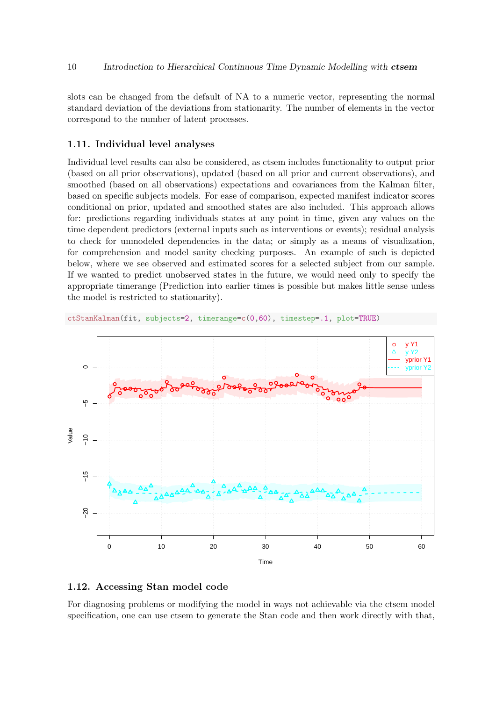slots can be changed from the default of NA to a numeric vector, representing the normal standard deviation of the deviations from stationarity. The number of elements in the vector correspond to the number of latent processes.

#### 1.11. Individual level analyses

Individual level results can also be considered, as ctsem includes functionality to output prior (based on all prior observations), updated (based on all prior and current observations), and smoothed (based on all observations) expectations and covariances from the Kalman filter, based on specific subjects models. For ease of comparison, expected manifest indicator scores conditional on prior, updated and smoothed states are also included. This approach allows for: predictions regarding individuals states at any point in time, given any values on the time dependent predictors (external inputs such as interventions or events); residual analysis to check for unmodeled dependencies in the data; or simply as a means of visualization, for comprehension and model sanity checking purposes. An example of such is depicted below, where we see observed and estimated scores for a selected subject from our sample. If we wanted to predict unobserved states in the future, we would need only to specify the appropriate timerange (Prediction into earlier times is possible but makes little sense unless the model is restricted to stationarity).



ctStanKalman(fit, subjects=2, timerange=c(0,60), timestep=.1, plot=TRUE)

#### 1.12. Accessing Stan model code

For diagnosing problems or modifying the model in ways not achievable via the ctsem model specification, one can use ctsem to generate the Stan code and then work directly with that,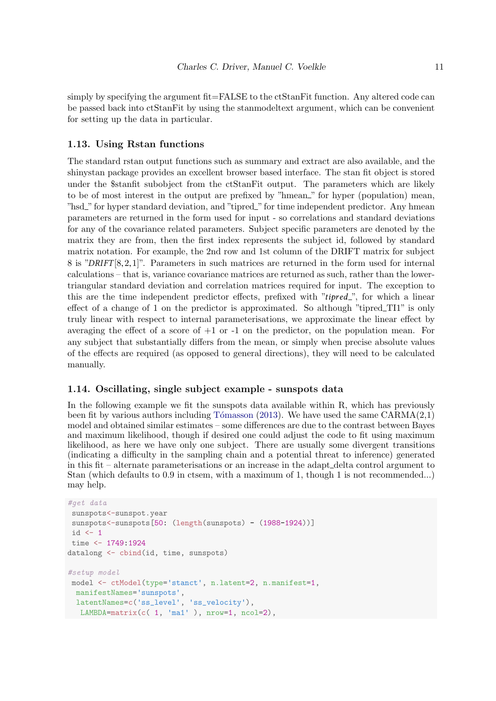simply by specifying the argument fit=FALSE to the ctStanFit function. Any altered code can be passed back into ctStanFit by using the stanmodeltext argument, which can be convenient for setting up the data in particular.

#### 1.13. Using Rstan functions

The standard rstan output functions such as summary and extract are also available, and the shinystan package provides an excellent browser based interface. The stan fit object is stored under the \$stanfit subobject from the ctStanFit output. The parameters which are likely to be of most interest in the output are prefixed by "hmean." for hyper (population) mean, "hsd\_" for hyper standard deviation, and "tipred\_" for time independent predictor. Any hmean parameters are returned in the form used for input - so correlations and standard deviations for any of the covariance related parameters. Subject specific parameters are denoted by the matrix they are from, then the first index represents the subject id, followed by standard matrix notation. For example, the 2nd row and 1st column of the DRIFT matrix for subject 8 is "DRIFT [8,2,1]". Parameters in such matrices are returned in the form used for internal calculations – that is, variance covariance matrices are returned as such, rather than the lowertriangular standard deviation and correlation matrices required for input. The exception to this are the time independent predictor effects, prefixed with " $tipred$ ", for which a linear effect of a change of 1 on the predictor is approximated. So although "tipred\_TI1" is only truly linear with respect to internal parameterisations, we approximate the linear effect by averaging the effect of a score of  $+1$  or  $-1$  on the predictor, on the population mean. For any subject that substantially differs from the mean, or simply when precise absolute values of the effects are required (as opposed to general directions), they will need to be calculated manually.

## 1.14. Oscillating, single subject example - sunspots data

In the following example we fit the sunspots data available within R, which has previously been fit by various authors including Tómasson [\(2013\)](#page-20-1). We have used the same  $CARMA(2,1)$ model and obtained similar estimates – some differences are due to the contrast between Bayes and maximum likelihood, though if desired one could adjust the code to fit using maximum likelihood, as here we have only one subject. There are usually some divergent transitions (indicating a difficulty in the sampling chain and a potential threat to inference) generated in this fit – alternate parameterisations or an increase in the adapt delta control argument to Stan (which defaults to 0.9 in ctsem, with a maximum of 1, though 1 is not recommended...) may help.

```
#get data
 sunspots<-sunspot.year
 sunspots<-sunspots[50: (length(sunspots) - (1988-1924))]
 id \leftarrow 1time <- 1749:1924
datalong <- cbind(id, time, sunspots)
#setup model
 model <- ctModel(type='stanct', n.latent=2, n.manifest=1,
  manifestNames='sunspots',
  manifestNames='sunspots<mark>',</mark><br>latentNames=c('ss_level', 'ss_velocity'),
    atentNames=c('ss_level', 'ss_velocity'),<br>LAMBDA=matrix(c( 1, 'ma1' ), nrow=1, ncol=2),
```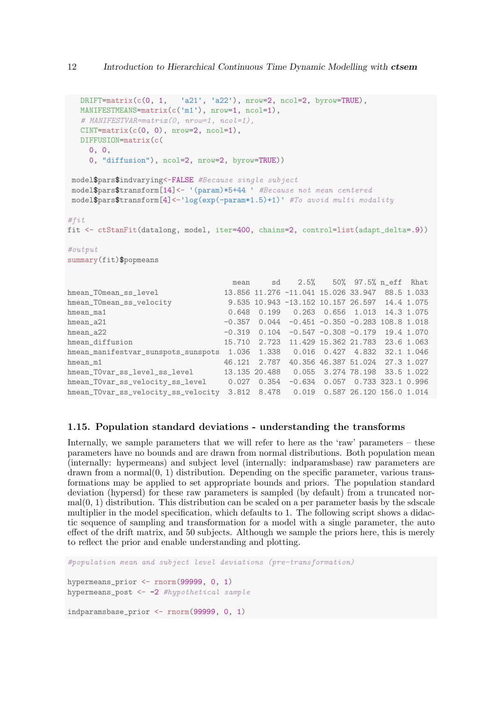```
\texttt{DRIFT}=matrix(c(0, 1, ^+a21', 'a22'), nrow=2, ncol=2, byrow=TRUE),
   DRIFT=matrix(c(0, 1, 'a21', 'a22'), nrow=2,<br>MANIFESTMEANS=matrix(c('m1'), nrow=1, ncol=1),
  # MANIFESTVAR=matrix(0, nrow=1, ncol=1),
  CINT=matrix(c(0, 0), nrow=2, ncol=1),DIFFUSION=matrix(c(
    0, 0,
    0, "diffusion"), ncol=2, nrow=2, byrow=TRUE))
 model$pars$indvarying<-FALSE #Because single subject
 model$pars$transform[14]<- '(param)*5+44 ' #Because not mean centered
 model$pars$transform[4] <-'log(exp(-param*1.5)+1)' #To avoid multi modality
#fit
fit <- ctStanFit(datalong, model, iter=400, chains=2, control=list(adapt_delta=.9))
#output
summary(fit)$popmeans
                                   mean sd 2.5% 50% 97.5% n_eff Rhat
hmean T0mean ss level 13.856 11.276 -11.041 15.026 33.947 88.5 1.033
hmean_T0mean_ss_velocity 9.535 10.943 -13.152 10.157 26.597 14.4 1.075
hmean_ma1 0.648 0.199 0.263 0.656 1.013 14.3 1.075
hmean_a21 -0.357 0.044 -0.451 -0.350 -0.283 108.8 1.018
hmean_a22 -0.319 0.104 -0.547 -0.308 -0.179 19.4 1.070
hmean_diffusion 15.710 2.723 11.429 15.362 21.783 23.6 1.063
hmean_manifestvar_sunspots_sunspots 1.036 1.338 0.016 0.427 4.832 32.1 1.046
hmean_m1 46.121 2.787 40.356 46.387 51.024 27.3 1.027
hmean_T0var_ss_level_ss_level 13.135 20.488 0.055 3.274 78.198 33.5 1.022<br>hmean_T0var_ss_velocity_ss_level 0.027 0.354 -0.634 0.057 0.733 323.1 0.996
                                  0.027 0.354 -0.634 0.057 0.733 323.1 0.996
hmean_T0var_ss_velocity_ss_velocity 3.812 8.478 0.019 0.587 26.120 156.0 1.014
```
#### 1.15. Population standard deviations - understanding the transforms

Internally, we sample parameters that we will refer to here as the 'raw' parameters – these parameters have no bounds and are drawn from normal distributions. Both population mean (internally: hypermeans) and subject level (internally: indparamsbase) raw parameters are  $d$ rawn from a normal $(0, 1)$  distribution. Depending on the specific parameter, various transformations may be applied to set appropriate bounds and priors. The population standard deviation (hypersd) for these raw parameters is sampled (by default) from a truncated nor $mal(0, 1)$  distribution. This distribution can be scaled on a per parameter basis by the sdscale multiplier in the model specification, which defaults to 1. The following script shows a didactic sequence of sampling and transformation for a model with a single parameter, the auto effect of the drift matrix, and 50 subjects. Although we sample the priors here, this is merely to reflect the prior and enable understanding and plotting.

#population mean and subject level deviations (pre-transformation) hypermeans prior  $\leq$  rnorm(99999, 0, 1) hypermeans\_post  $<-2$  #hypothetical sample indparamsbase\_prior <- rnorm(99999, 0, 1)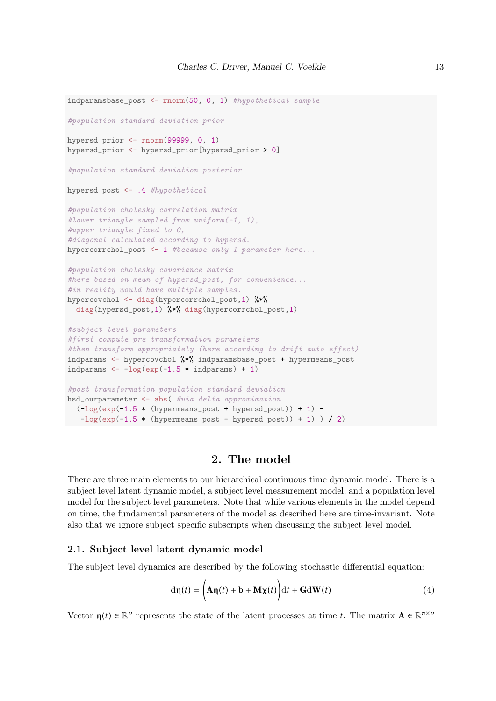```
indparamsbase_post <- rnorm(50, 0, 1) #hypothetical sample
#population standard deviation prior
hypersd_prior <- rnorm(99999, 0, 1)
hypersd_prior <- hypersd_prior[hypersd_prior > 0]
#population standard deviation posterior
hypersd_post <- .4 #hypothetical
#population cholesky correlation matrix
#lower triangle sampled from uniform(-1, 1),
#upper triangle fixed to 0,
#diagonal calculated according to hypersd.
hypercorrchol_post \leq -1 #because only 1 parameter here...
#population cholesky covariance matrix
#here based on mean of hypersd_post, for convenience...
#in reality would have multiple samples.
hypercovchol <- diag(hypercorrchol_post,1) %*%
  diag(hypersd_post,1) %*% diag(hypercorrchol_post,1)
#subject level parameters
#first compute pre transformation parameters
#then transform appropriately (here according to drift auto effect)
indparams <- hypercovchol %*% indparamsbase_post + hypermeans_post
indparams \leftarrow -\log(\exp(-1.5 * \text{indparams}) + 1)#post transformation population standard deviation
hsd_ourparameter <- abs( #via delta approximation
 (-\log(\exp(-1.5 * (\text{hypermeans post} + \text{hversd post}))) + 1) --\log(\exp(-1.5 * (\text{hypermeans\_post} - \text{hypersd\_post})) + 1) / 2)
```
## <span id="page-12-0"></span>2. The model

There are three main elements to our hierarchical continuous time dynamic model. There is a subject level latent dynamic model, a subject level measurement model, and a population level model for the subject level parameters. Note that while various elements in the model depend on time, the fundamental parameters of the model as described here are time-invariant. Note also that we ignore subject specific subscripts when discussing the subject level model.

#### 2.1. Subject level latent dynamic model

The subject level dynamics are described by the following stochastic differential equation:

$$
d\eta(t) = \left(A\eta(t) + b + M\chi(t)\right)dt + GdW(t)
$$
\n(4)

Vector  $\eta(t) \in \mathbb{R}^v$  represents the state of the latent processes at time t. The matrix  $\mathbf{A} \in \mathbb{R}^{v \times v}$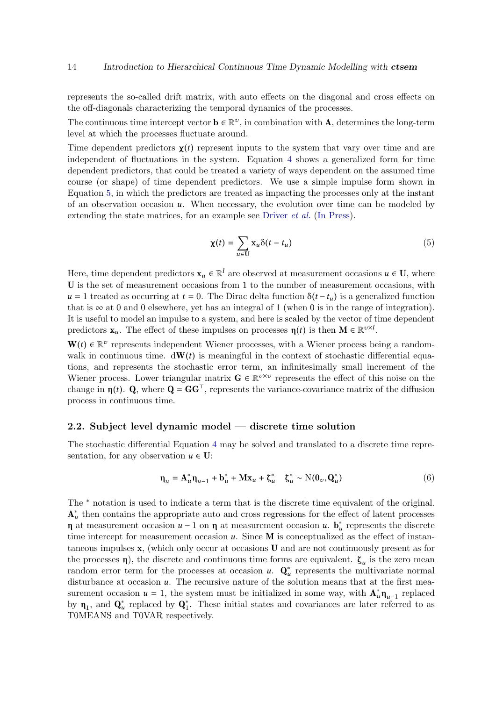represents the so-called drift matrix, with auto effects on the diagonal and cross effects on the off-diagonals characterizing the temporal dynamics of the processes.

The continuous time intercept vector  $\mathbf{b} \in \mathbb{R}^v$ , in combination with **A**, determines the long-term level at which the processes fluctuate around.

Time dependent predictors  $\chi(t)$  represent inputs to the system that vary over time and are independent of fluctuations in the system. Equation [4](#page-12-0) shows a generalized form for time dependent predictors, that could be treated a variety of ways dependent on the assumed time course (or shape) of time dependent predictors. We use a simple impulse form shown in Equation [5,](#page-13-0) in which the predictors are treated as impacting the processes only at the instant of an observation occasion  $u$ . When necessary, the evolution over time can be modeled by extending the state matrices, for an example see [Driver](#page-20-0) *et al.* [\(In Press\)](#page-20-0).

$$
\chi(t) = \sum_{u \in U} x_u \delta(t - t_u) \tag{5}
$$

<span id="page-13-0"></span>Here, time dependent predictors  $x_u \in \mathbb{R}^l$  are observed at measurement occasions  $u \in U$ , where U is the set of measurement occasions from 1 to the number of measurement occasions, with  $u = 1$  treated as occurring at  $t = 0$ . The Dirac delta function  $\delta(t - t_u)$  is a generalized function that is  $\infty$  at 0 and 0 elsewhere, yet has an integral of 1 (when 0 is in the range of integration). It is useful to model an impulse to a system, and here is scaled by the vector of time dependent predictors  $\mathbf{x}_u$ . The effect of these impulses on processes  $\eta(t)$  is then  $\mathbf{M} \in \mathbb{R}^{v \times l}$ .

 $\mathbf{W}(t) \in \mathbb{R}^{\nu}$  represents independent Wiener processes, with a Wiener process being a randomwalk in continuous time.  $dW(t)$  is meaningful in the context of stochastic differential equations, and represents the stochastic error term, an infinitesimally small increment of the Wiener process. Lower triangular matrix  $\mathbf{G} \in \mathbb{R}^{v \times v}$  represents the effect of this noise on the change in  $\eta(t)$ . Q, where  $Q = GG^{\top}$ , represents the variance-covariance matrix of the diffusion process in continuous time.

#### 2.2. Subject level dynamic model — discrete time solution

The stochastic differential Equation [4](#page-12-0) may be solved and translated to a discrete time representation, for any observation  $u \in U$ :

$$
\mathbf{\eta}_u = \mathbf{A}_u^* \mathbf{\eta}_{u-1} + \mathbf{b}_u^* + \mathbf{M} \mathbf{x}_u + \zeta_u^* \quad \zeta_u^* \sim \mathcal{N}(\mathbf{0}_v, \mathbf{Q}_u^*)
$$
(6)

The <sup>∗</sup> notation is used to indicate a term that is the discrete time equivalent of the original.  $A_u^*$  then contains the appropriate auto and cross regressions for the effect of latent processes η at measurement occasion  $u$  − 1 on η at measurement occasion  $u$ .  $\mathbf{b}_u^*$  represents the discrete time intercept for measurement occasion  $u$ . Since  $M$  is conceptualized as the effect of instantaneous impulses x, (which only occur at occasions U and are not continuously present as for the processes  $\eta$ ), the discrete and continuous time forms are equivalent.  $\zeta_u$  is the zero mean random error term for the processes at occasion  $u$ .  $\mathbf{Q}_u^*$  represents the multivariate normal disturbance at occasion  $u$ . The recursive nature of the solution means that at the first measurement occasion  $u = 1$ , the system must be initialized in some way, with  $\mathbf{A}_{u}^{*} \mathbf{\eta}_{u-1}$  replaced by  $\eta_1$ , and  $\mathbf{Q}_u^*$  replaced by  $\mathbf{Q}_1^*$ . These initial states and covariances are later referred to as T0MEANS and T0VAR respectively.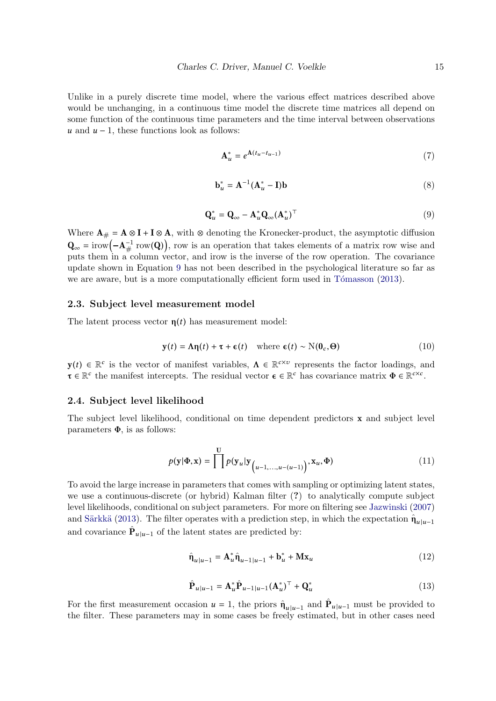Unlike in a purely discrete time model, where the various effect matrices described above would be unchanging, in a continuous time model the discrete time matrices all depend on some function of the continuous time parameters and the time interval between observations u and  $u - 1$ , these functions look as follows:

$$
\mathbf{A}_u^* = e^{\mathbf{A}(t_u - t_{u-1})} \tag{7}
$$

$$
\mathbf{b}_u^* = \mathbf{A}^{-1} (\mathbf{A}_u^* - \mathbf{I}) \mathbf{b}
$$
 (8)

$$
\mathbf{Q}_u^* = \mathbf{Q}_\infty - \mathbf{A}_u^* \mathbf{Q}_\infty (\mathbf{A}_u^*)^\top
$$
\n(9)

<span id="page-14-0"></span>Where  $\mathbf{A}_{\#} = \mathbf{A} \otimes \mathbf{I} + \mathbf{I} \otimes \mathbf{A}$ , with  $\otimes$  denoting the Kronecker-product, the asymptotic diffusion  $\mathbf{Q}_{\infty} = \text{if } \text{row}(-\mathbf{A}_{\#}^{-1} \text{ row}(\mathbf{Q}))$ , row is an operation that takes elements of a matrix row wise and puts them in a column vector, and irow is the inverse of the row operation. The covariance update shown in Equation [9](#page-14-0) has not been described in the psychological literature so far as we are aware, but is a more computationally efficient form used in Tómasson [\(2013\)](#page-20-1).

#### 2.3. Subject level measurement model

The latent process vector  $\eta(t)$  has measurement model:

$$
\mathbf{y}(t) = \mathbf{\Lambda}\mathbf{\eta}(t) + \boldsymbol{\tau} + \boldsymbol{\epsilon}(t) \quad \text{where } \boldsymbol{\epsilon}(t) \sim \mathbf{N}(\mathbf{0}_c, \boldsymbol{\Theta}) \tag{10}
$$

 $y(t) \in \mathbb{R}^c$  is the vector of manifest variables,  $\Lambda \in \mathbb{R}^{c \times v}$  represents the factor loadings, and  $\tau \in \mathbb{R}^c$  the manifest intercepts. The residual vector  $\epsilon \in \mathbb{R}^c$  has covariance matrix  $\Phi \in \mathbb{R}^{c \times c}$ .

#### 2.4. Subject level likelihood

The subject level likelihood, conditional on time dependent predictors x and subject level parameters  $\Phi$ , is as follows:

$$
p(\mathbf{y}|\Phi,\mathbf{x}) = \prod^{U} p(\mathbf{y}_{u}|\mathbf{y}_{(u-1,...,u-(u-1)}) , \mathbf{x}_{u}, \Phi)
$$
 (11)

To avoid the large increase in parameters that comes with sampling or optimizing latent states, we use a continuous-discrete (or hybrid) Kalman filter (?) to analytically compute subject level likelihoods, conditional on subject parameters. For more on filtering see [Jazwinski](#page-20-2) [\(2007\)](#page-20-2) and Särkkä [\(2013\)](#page-20-3). The filter operates with a prediction step, in which the expectation  $\hat{\mathbf{n}}_{u|u-1}$ and covariance  $\hat{\mathbf{P}}_{u|u-1}$  of the latent states are predicted by:

$$
\hat{\mathbf{n}}_{u|u-1} = \mathbf{A}_u^* \hat{\mathbf{n}}_{u-1|u-1} + \mathbf{b}_u^* + \mathbf{M} \mathbf{x}_u \tag{12}
$$

$$
\hat{\mathbf{P}}_{u|u-1} = \mathbf{A}_u^* \hat{\mathbf{P}}_{u-1|u-1} (\mathbf{A}_u^*)^\top + \mathbf{Q}_u^* \tag{13}
$$

For the first measurement occasion  $u = 1$ , the priors  $\hat{\eta}_{u|u-1}$  and  $\hat{P}_{u|u-1}$  must be provided to the filter. These parameters may in some cases be freely estimated, but in other cases need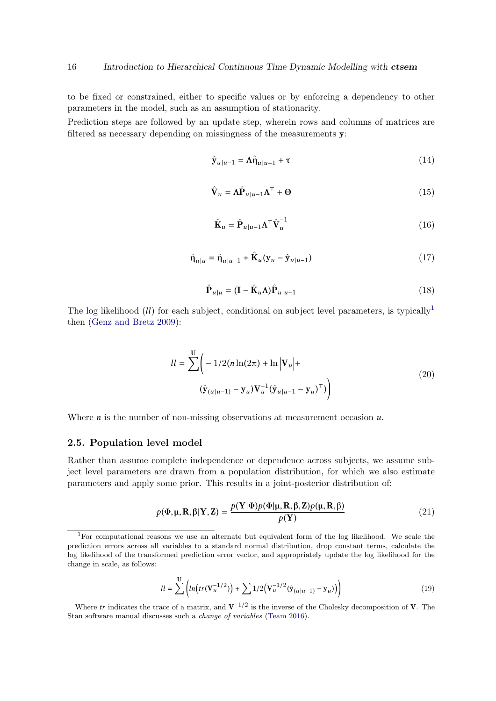to be fixed or constrained, either to specific values or by enforcing a dependency to other parameters in the model, such as an assumption of stationarity.

Prediction steps are followed by an update step, wherein rows and columns of matrices are filtered as necessary depending on missingness of the measurements y:

$$
\hat{\mathbf{y}}_{u|u-1} = \Lambda \hat{\mathbf{n}}_{u|u-1} + \tau \tag{14}
$$

$$
\hat{\mathbf{V}}_u = \Lambda \hat{\mathbf{P}}_{u|u-1} \Lambda^\top + \Theta \tag{15}
$$

$$
\hat{\mathbf{K}}_u = \hat{\mathbf{P}}_{u|u-1} \Lambda^\top \hat{\mathbf{V}}_u^{-1} \tag{16}
$$

$$
\hat{\mathbf{n}}_{u|u} = \hat{\mathbf{n}}_{u|u-1} + \hat{\mathbf{K}}_u(\mathbf{y}_u - \hat{\mathbf{y}}_{u|u-1})
$$
\n(17)

$$
\hat{\mathbf{P}}_{u|u} = (\mathbf{I} - \hat{\mathbf{K}}_u \mathbf{\Lambda}) \hat{\mathbf{P}}_{u|u-1}
$$
\n(18)

The log likelihood (*ll*) for each subject, conditional on subject level parameters, is typically<sup>[1](#page-15-0)</sup> then [\(Genz and Bretz 2009\)](#page-20-4):

$$
ll = \sum_{\mathbf{v}} \left( -1/2(n \ln(2\pi) + \ln |\mathbf{V}_u| + \left( \hat{\mathbf{y}}_{(u|u-1)} - \mathbf{y}_u \right) \mathbf{V}_u^{-1} (\hat{\mathbf{y}}_{u|u-1} - \mathbf{y}_u)^\top) \right)
$$
(20)

Where  $n$  is the number of non-missing observations at measurement occasion  $u$ .

#### 2.5. Population level model

Rather than assume complete independence or dependence across subjects, we assume subject level parameters are drawn from a population distribution, for which we also estimate parameters and apply some prior. This results in a joint-posterior distribution of:

$$
p(\Phi, \mu, \mathbf{R}, \beta | \mathbf{Y}, \mathbf{Z}) = \frac{p(\mathbf{Y} | \Phi) p(\Phi | \mu, \mathbf{R}, \beta, \mathbf{Z}) p(\mu, \mathbf{R}, \beta)}{p(\mathbf{Y})}
$$
(21)

$$
ll = \sum_{n=0}^{U} \left( ln \left( tr(\mathbf{V}_u^{-1/2}) \right) + \sum_{n=0}^{U} \left( 1/2 \left( \hat{\mathbf{V}}_u^{-1/2} (\hat{\mathbf{y}}_{(u|u-1)} - \mathbf{y}_u) \right) \right) \right)
$$
(19)

Where tr indicates the trace of a matrix, and  $V^{-1/2}$  is the inverse of the Cholesky decomposition of V. The Stan software manual discusses such a change of variables [\(Team 2016\)](#page-20-5).

<span id="page-15-0"></span><sup>1</sup>For computational reasons we use an alternate but equivalent form of the log likelihood. We scale the prediction errors across all variables to a standard normal distribution, drop constant terms, calculate the log likelihood of the transformed prediction error vector, and appropriately update the log likelihood for the change in scale, as follows: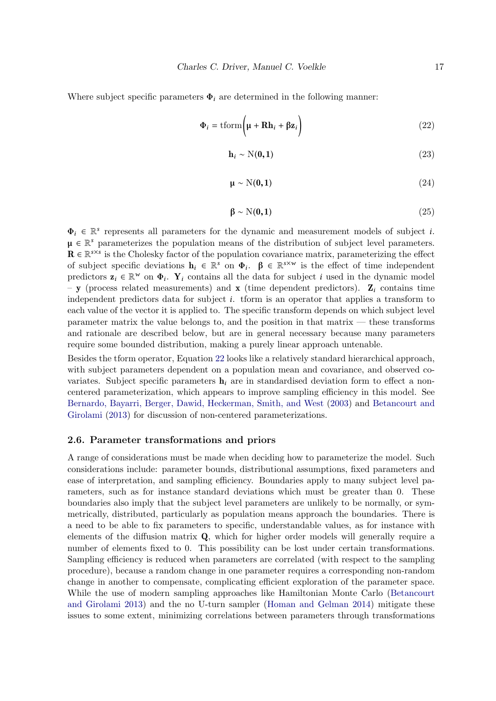<span id="page-16-0"></span>Where subject specific parameters  $\Phi_i$  are determined in the following manner:

$$
\Phi_i = \text{tform}\left(\mu + \mathbf{R}\mathbf{h}_i + \beta \mathbf{z}_i\right)
$$
\n(22)

$$
\mathbf{h}_i \sim \mathcal{N}(\mathbf{0}, \mathbf{1}) \tag{23}
$$

$$
\mu \sim N(0, 1) \tag{24}
$$

$$
\beta \sim N(0,1) \tag{25}
$$

 $\Phi_i \in \mathbb{R}^s$  represents all parameters for the dynamic and measurement models of subject *i*.  $\mu \in \mathbb{R}^s$  parameterizes the population means of the distribution of subject level parameters.  $\mathbf{R} \in \mathbb{R}^{s \times s}$  is the Cholesky factor of the population covariance matrix, parameterizing the effect of subject specific deviations  $\mathbf{h}_i \in \mathbb{R}^s$  on  $\Phi_i$ .  $\beta \in \mathbb{R}^{s \times w}$  is the effect of time independent predictors  $\mathbf{z}_i \in \mathbb{R}^w$  on  $\Phi_i$ .  $\mathbf{Y}_i$  contains all the data for subject i used in the dynamic model – y (process related measurements) and x (time dependent predictors).  $\mathbf{Z}_i$  contains time independent predictors data for subject i. tform is an operator that applies a transform to each value of the vector it is applied to. The specific transform depends on which subject level parameter matrix the value belongs to, and the position in that matrix — these transforms and rationale are described below, but are in general necessary because many parameters require some bounded distribution, making a purely linear approach untenable.

Besides the tform operator, Equation [22](#page-16-0) looks like a relatively standard hierarchical approach, with subject parameters dependent on a population mean and covariance, and observed covariates. Subject specific parameters  $h_i$  are in standardised deviation form to effect a noncentered parameterization, which appears to improve sampling efficiency in this model. See [Bernardo, Bayarri, Berger, Dawid, Heckerman, Smith, and West](#page-20-6) [\(2003\)](#page-20-6) and [Betancourt and](#page-20-7) [Girolami](#page-20-7) [\(2013\)](#page-20-7) for discussion of non-centered parameterizations.

#### 2.6. Parameter transformations and priors

A range of considerations must be made when deciding how to parameterize the model. Such considerations include: parameter bounds, distributional assumptions, fixed parameters and ease of interpretation, and sampling efficiency. Boundaries apply to many subject level parameters, such as for instance standard deviations which must be greater than 0. These boundaries also imply that the subject level parameters are unlikely to be normally, or symmetrically, distributed, particularly as population means approach the boundaries. There is a need to be able to fix parameters to specific, understandable values, as for instance with elements of the diffusion matrix Q, which for higher order models will generally require a number of elements fixed to 0. This possibility can be lost under certain transformations. Sampling efficiency is reduced when parameters are correlated (with respect to the sampling procedure), because a random change in one parameter requires a corresponding non-random change in another to compensate, complicating efficient exploration of the parameter space. While the use of modern sampling approaches like Hamiltonian Monte Carlo [\(Betancourt](#page-20-7) [and Girolami 2013\)](#page-20-7) and the no U-turn sampler [\(Homan and Gelman 2014\)](#page-20-8) mitigate these issues to some extent, minimizing correlations between parameters through transformations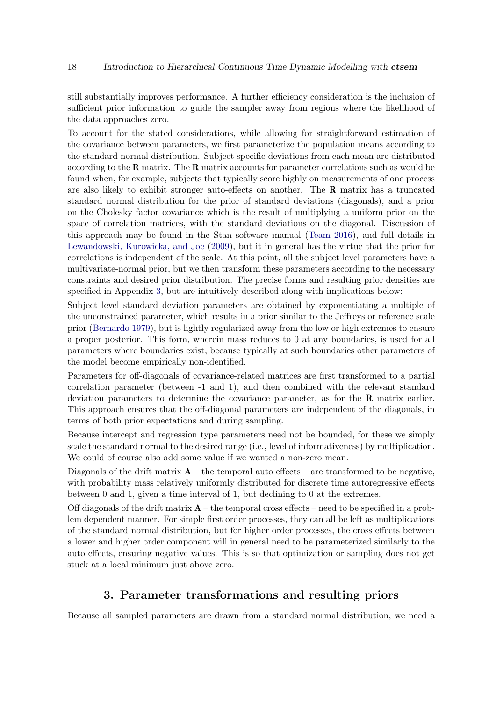still substantially improves performance. A further efficiency consideration is the inclusion of sufficient prior information to guide the sampler away from regions where the likelihood of the data approaches zero.

To account for the stated considerations, while allowing for straightforward estimation of the covariance between parameters, we first parameterize the population means according to the standard normal distribution. Subject specific deviations from each mean are distributed according to the R matrix. The R matrix accounts for parameter correlations such as would be found when, for example, subjects that typically score highly on measurements of one process are also likely to exhibit stronger auto-effects on another. The R matrix has a truncated standard normal distribution for the prior of standard deviations (diagonals), and a prior on the Cholesky factor covariance which is the result of multiplying a uniform prior on the space of correlation matrices, with the standard deviations on the diagonal. Discussion of this approach may be found in the Stan software manual [\(Team 2016\)](#page-20-5), and full details in [Lewandowski, Kurowicka, and Joe](#page-20-9) [\(2009\)](#page-20-9), but it in general has the virtue that the prior for correlations is independent of the scale. At this point, all the subject level parameters have a multivariate-normal prior, but we then transform these parameters according to the necessary constraints and desired prior distribution. The precise forms and resulting prior densities are specified in Appendix [3,](#page-17-0) but are intuitively described along with implications below:

Subject level standard deviation parameters are obtained by exponentiating a multiple of the unconstrained parameter, which results in a prior similar to the Jeffreys or reference scale prior [\(Bernardo 1979\)](#page-20-10), but is lightly regularized away from the low or high extremes to ensure a proper posterior. This form, wherein mass reduces to 0 at any boundaries, is used for all parameters where boundaries exist, because typically at such boundaries other parameters of the model become empirically non-identified.

Parameters for off-diagonals of covariance-related matrices are first transformed to a partial correlation parameter (between -1 and 1), and then combined with the relevant standard deviation parameters to determine the covariance parameter, as for the R matrix earlier. This approach ensures that the off-diagonal parameters are independent of the diagonals, in terms of both prior expectations and during sampling.

Because intercept and regression type parameters need not be bounded, for these we simply scale the standard normal to the desired range (i.e., level of informativeness) by multiplication. We could of course also add some value if we wanted a non-zero mean.

Diagonals of the drift matrix  $\mathbf{A}$  – the temporal auto effects – are transformed to be negative, with probability mass relatively uniformly distributed for discrete time autoregressive effects between 0 and 1, given a time interval of 1, but declining to 0 at the extremes.

Off diagonals of the drift matrix  $\mathbf{A}$  – the temporal cross effects – need to be specified in a problem dependent manner. For simple first order processes, they can all be left as multiplications of the standard normal distribution, but for higher order processes, the cross effects between a lower and higher order component will in general need to be parameterized similarly to the auto effects, ensuring negative values. This is so that optimization or sampling does not get stuck at a local minimum just above zero.

# 3. Parameter transformations and resulting priors

<span id="page-17-0"></span>Because all sampled parameters are drawn from a standard normal distribution, we need a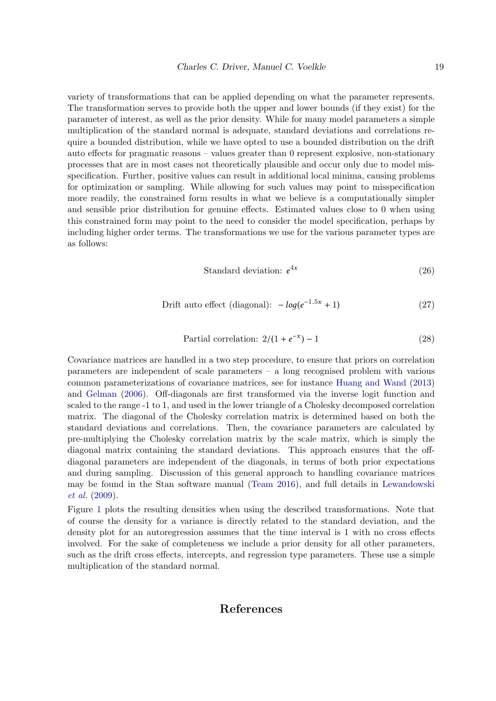variety of transformations that can be applied depending on what the parameter represents. The transformation serves to provide both the upper and lower bounds (if they exist) for the parameter of interest, as well as the prior density. While for many model parameters a simple multiplication of the standard normal is adequate, standard deviations and correlations require a bounded distribution, while we have opted to use a bounded distribution on the drift auto effects for pragmatic reasons – values greater than 0 represent explosive, non-stationary processes that are in most cases not theoretically plausible and occur only due to model misspecification. Further, positive values can result in additional local minima, causing problems for optimization or sampling. While allowing for such values may point to misspecification more readily, the constrained form results in what we believe is a computationally simpler and sensible prior distribution for genuine effects. Estimated values close to 0 when using this constrained form may point to the need to consider the model specification, perhaps by including higher order terms. The transformations we use for the various parameter types are as follows:

Standard deviation: 
$$
e^{4x}
$$
 (26)

$$
Drift auto effect (diagonal): -log(e^{-1.5x} + 1)
$$
\n(27)

Partial correlation: 
$$
2/(1 + e^{-x}) - 1
$$
 (28)

Covariance matrices are handled in a two step procedure, to ensure that priors on correlation parameters are independent of scale parameters – a long recognised problem with various common parameterizations of covariance matrices, see for instance [Huang and Wand](#page-20-11) [\(2013\)](#page-20-11) and [Gelman](#page-20-12) [\(2006\)](#page-20-12). Off-diagonals are first transformed via the inverse logit function and scaled to the range -1 to 1, and used in the lower triangle of a Cholesky decomposed correlation matrix. The diagonal of the Cholesky correlation matrix is determined based on both the standard deviations and correlations. Then, the covariance parameters are calculated by pre-multiplying the Cholesky correlation matrix by the scale matrix, which is simply the diagonal matrix containing the standard deviations. This approach ensures that the offdiagonal parameters are independent of the diagonals, in terms of both prior expectations and during sampling. Discussion of this general approach to handling covariance matrices may be found in the Stan software manual [\(Team 2016\)](#page-20-5), and full details in [Lewandowski](#page-20-9) *[et al.](#page-20-9)* [\(2009\)](#page-20-9).

Figure [1](#page-19-0) plots the resulting densities when using the described transformations. Note that of course the density for a variance is directly related to the standard deviation, and the density plot for an autoregression assumes that the time interval is 1 with no cross effects involved. For the sake of completeness we include a prior density for all other parameters, such as the drift cross effects, intercepts, and regression type parameters. These use a simple multiplication of the standard normal.

## References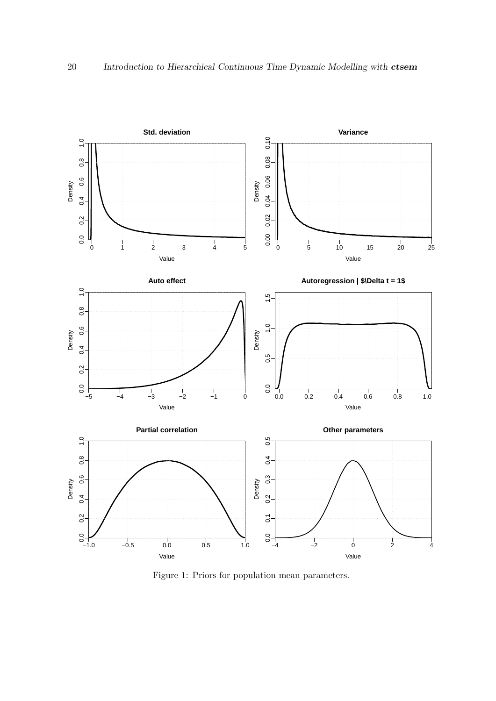

<span id="page-19-0"></span>Figure 1: Priors for population mean parameters.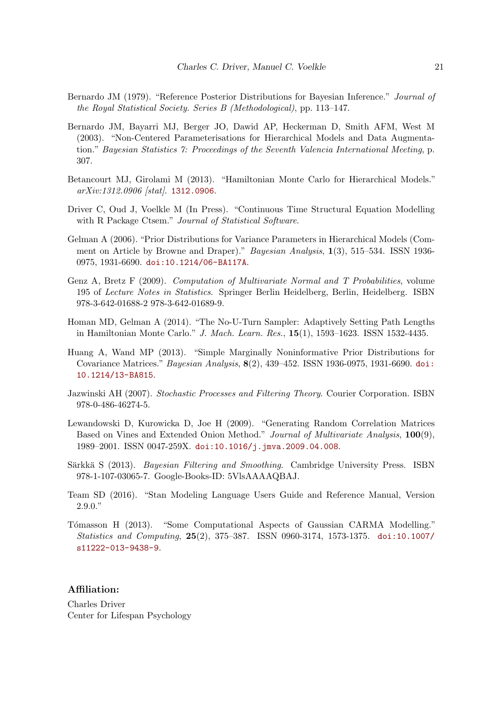- <span id="page-20-10"></span>Bernardo JM (1979). "Reference Posterior Distributions for Bayesian Inference." *Journal of the Royal Statistical Society. Series B (Methodological)*, pp. 113–147.
- <span id="page-20-6"></span>Bernardo JM, Bayarri MJ, Berger JO, Dawid AP, Heckerman D, Smith AFM, West M (2003). "Non-Centered Parameterisations for Hierarchical Models and Data Augmentation." *Bayesian Statistics 7: Proceedings of the Seventh Valencia International Meeting*, p. 307.
- <span id="page-20-7"></span>Betancourt MJ, Girolami M (2013). "Hamiltonian Monte Carlo for Hierarchical Models." *arXiv:1312.0906 [stat]*. <1312.0906>.
- <span id="page-20-0"></span>Driver C, Oud J, Voelkle M (In Press). "Continuous Time Structural Equation Modelling with R Package Ctsem." *Journal of Statistical Software*.
- <span id="page-20-12"></span>Gelman A (2006). "Prior Distributions for Variance Parameters in Hierarchical Models (Comment on Article by Browne and Draper)." *Bayesian Analysis*, 1(3), 515–534. ISSN 1936- 0975, 1931-6690. [doi:10.1214/06-BA117A](http://dx.doi.org/10.1214/06-BA117A).
- <span id="page-20-4"></span>Genz A, Bretz F (2009). *Computation of Multivariate Normal and T Probabilities*, volume 195 of *Lecture Notes in Statistics*. Springer Berlin Heidelberg, Berlin, Heidelberg. ISBN 978-3-642-01688-2 978-3-642-01689-9.
- <span id="page-20-8"></span>Homan MD, Gelman A (2014). "The No-U-Turn Sampler: Adaptively Setting Path Lengths in Hamiltonian Monte Carlo." *J. Mach. Learn. Res.*, 15(1), 1593–1623. ISSN 1532-4435.
- <span id="page-20-11"></span>Huang A, Wand MP (2013). "Simple Marginally Noninformative Prior Distributions for Covariance Matrices." *Bayesian Analysis*, 8(2), 439–452. ISSN 1936-0975, 1931-6690. [doi:](http://dx.doi.org/10.1214/13-BA815) [10.1214/13-BA815](http://dx.doi.org/10.1214/13-BA815).
- <span id="page-20-2"></span>Jazwinski AH (2007). *Stochastic Processes and Filtering Theory*. Courier Corporation. ISBN 978-0-486-46274-5.
- <span id="page-20-9"></span>Lewandowski D, Kurowicka D, Joe H (2009). "Generating Random Correlation Matrices Based on Vines and Extended Onion Method." *Journal of Multivariate Analysis*, 100(9), 1989–2001. ISSN 0047-259X. [doi:10.1016/j.jmva.2009.04.008](http://dx.doi.org/10.1016/j.jmva.2009.04.008).
- <span id="page-20-3"></span>Särkkä S (2013). *Bayesian Filtering and Smoothing*. Cambridge University Press. ISBN 978-1-107-03065-7. Google-Books-ID: 5VlsAAAAQBAJ.
- <span id="page-20-5"></span>Team SD (2016). "Stan Modeling Language Users Guide and Reference Manual, Version 2.9.0."
- <span id="page-20-1"></span>Tómasson H (2013). "Some Computational Aspects of Gaussian CARMA Modelling." *Statistics and Computing*, 25(2), 375–387. ISSN 0960-3174, 1573-1375. [doi:10.1007/](http://dx.doi.org/10.1007/s11222-013-9438-9) [s11222-013-9438-9](http://dx.doi.org/10.1007/s11222-013-9438-9).

#### Affiliation:

Charles Driver Center for Lifespan Psychology